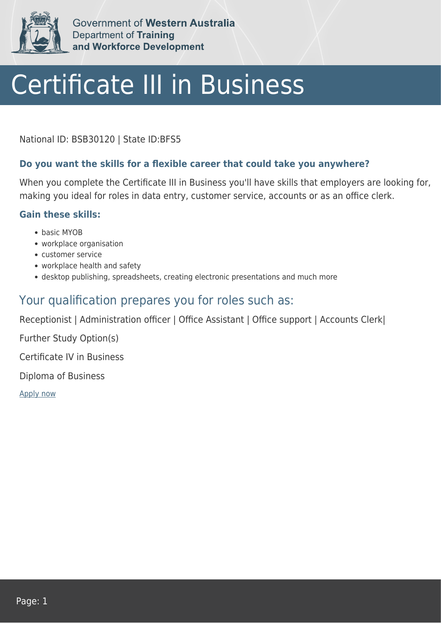

Government of Western Australia Department of Training and Workforce Development

# Certificate III in Business

National ID: BSB30120 | State ID:BFS5

### **Do you want the skills for a flexible career that could take you anywhere?**

When you complete the Certificate III in Business you'll have skills that employers are looking for, making you ideal for roles in data entry, customer service, accounts or as an office clerk.

#### **Gain these skills:**

- basic MYOB
- workplace organisation
- customer service
- workplace health and safety
- desktop publishing, spreadsheets, creating electronic presentations and much more

## Your qualification prepares you for roles such as:

Receptionist | Administration officer | Office Assistant | Office support | Accounts Clerk|

Further Study Option(s)

Certificate IV in Business

Diploma of Business

[Apply now](https://tasonline.tafe.wa.edu.au/Default.aspx)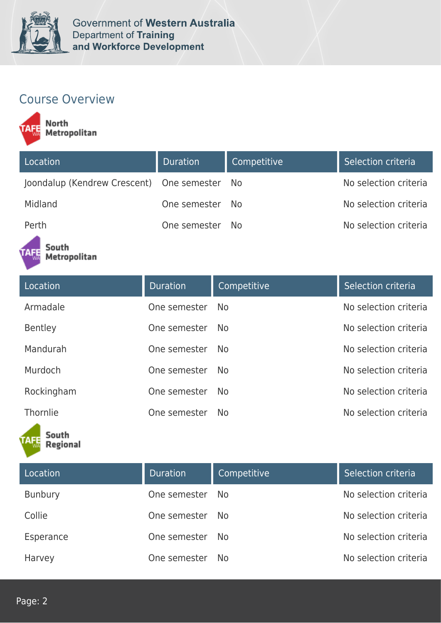

# Course Overview

North<br>Metropolitan

| Location                                     | Duration        | Competitive | Selection criteria    |
|----------------------------------------------|-----------------|-------------|-----------------------|
| Joondalup (Kendrew Crescent) One semester No |                 |             | No selection criteria |
| Midland                                      | One semester No |             | No selection criteria |
| Perth                                        | One semester    | No.         | No selection criteria |

#### South Metropolitan

| Location   | <b>Duration</b> | Competitive    | Selection criteria    |
|------------|-----------------|----------------|-----------------------|
| Armadale   | One semester    | No.            | No selection criteria |
| Bentley    | One semester    | No.            | No selection criteria |
| Mandurah   | One semester    | N <sub>o</sub> | No selection criteria |
| Murdoch    | One semester    | No.            | No selection criteria |
| Rockingham | One semester    | <b>No</b>      | No selection criteria |
| Thornlie   | One semester    | N <sub>o</sub> | No selection criteria |



| Location       | <b>Duration</b> | Competitive | Selection criteria    |
|----------------|-----------------|-------------|-----------------------|
| <b>Bunbury</b> | One semester    | No.         | No selection criteria |
| Collie         | One semester    | No.         | No selection criteria |
| Esperance      | One semester    | No.         | No selection criteria |
| Harvey         | One semester    | No.         | No selection criteria |